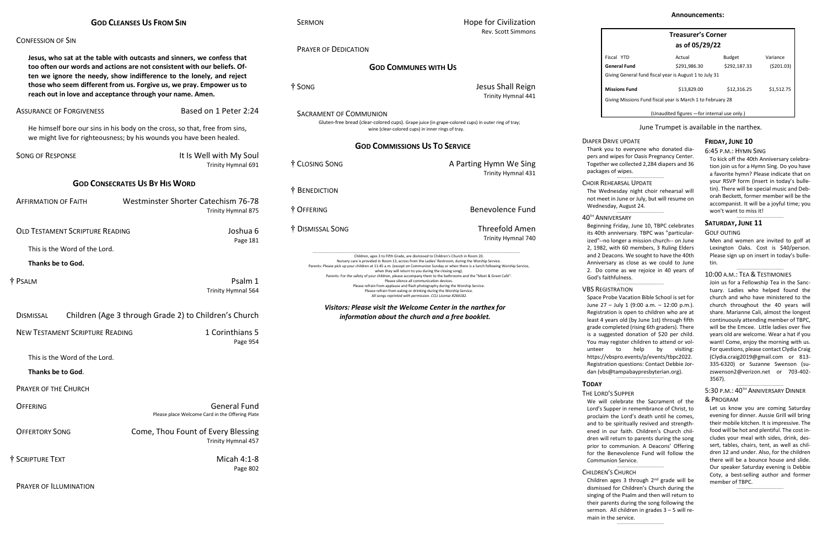| <b>GOD CLEANSES US FROM SIN</b> |  |
|---------------------------------|--|
|---------------------------------|--|

# CONFESSION OF SIN

**Jesus, who sat at the table with outcasts and sinners, we confess that too often our words and actions are not consistent with our beliefs. Often we ignore the needy, show indifference to the lonely, and reject those who seem different from us. Forgive us, we pray. Empower us to reach out in love and acceptance through your name. Amen.**

SERMON **SERMON SERMON** Rev. Scott Simmons

| <b>ASSURANCE OF FORGIVENESS</b>                    | Based on 1 Peter 2:24                                                                                                                               |
|----------------------------------------------------|-----------------------------------------------------------------------------------------------------------------------------------------------------|
|                                                    | He himself bore our sins in his body on the cross, so that, free from sins,<br>we might live for righteousness; by his wounds you have been healed. |
| <b>SONG OF RESPONSE</b>                            | It Is Well with My Soul<br>Trinity Hymnal 691                                                                                                       |
|                                                    | <b>GOD CONSECRATES US BY HIS WORD</b>                                                                                                               |
| <b>AFFIRMATION OF FAITH</b>                        | Westminster Shorter Catechism 76-78<br>Trinity Hymnal 875                                                                                           |
| <b>OLD TESTAMENT SCRIPTURE READING</b><br>Joshua 6 |                                                                                                                                                     |
| This is the Word of the Lord.                      | Page 181                                                                                                                                            |
| Thanks be to God.                                  |                                                                                                                                                     |
| † Psalm                                            | Psalm 1<br>Trinity Hymnal 564                                                                                                                       |
| <b>DISMISSAL</b>                                   | Children (Age 3 through Grade 2) to Children's Church                                                                                               |
| <b>NEW TESTAMENT SCRIPTURE READING</b>             | 1 Corinthians 5<br>Page 954                                                                                                                         |
| This is the Word of the Lord.                      |                                                                                                                                                     |
| Thanks be to God.                                  |                                                                                                                                                     |
| <b>PRAYER OF THE CHURCH</b>                        |                                                                                                                                                     |
| <b>OFFERING</b>                                    | <b>General Fund</b><br>Please place Welcome Card in the Offering Plate                                                                              |
| <b>OFFERTORY SONG</b>                              | Come, Thou Fount of Every Blessing<br>Trinity Hymnal 457                                                                                            |
| † SCRIPTURE TEXT                                   | Micah 4:1-8<br>Page 802                                                                                                                             |
|                                                    |                                                                                                                                                     |

PRAYER OF ILLUMINATION

|                                      | <b>Rev. Scott Simmons</b>                                                                                                                                                                                                                 |                                 |
|--------------------------------------|-------------------------------------------------------------------------------------------------------------------------------------------------------------------------------------------------------------------------------------------|---------------------------------|
| <b>PRAYER OF DEDICATION</b>          |                                                                                                                                                                                                                                           |                                 |
|                                      |                                                                                                                                                                                                                                           | Fisc                            |
|                                      | <b>GOD COMMUNES WITH US</b>                                                                                                                                                                                                               | Ger                             |
|                                      |                                                                                                                                                                                                                                           | Givi                            |
| † SONG                               | Jesus Shall Reign                                                                                                                                                                                                                         | Mis                             |
|                                      | Trinity Hymnal 441                                                                                                                                                                                                                        | Givi                            |
|                                      |                                                                                                                                                                                                                                           |                                 |
| <b>SACRAMENT OF COMMUNION</b>        |                                                                                                                                                                                                                                           |                                 |
|                                      | Gluten-free bread (clear-colored cups). Grape juice (in grape-colored cups) in outer ring of tray;<br>wine (clear-colored cups) in inner rings of tray.                                                                                   |                                 |
| <b>GOD COMMISSIONS US TO SERVICE</b> |                                                                                                                                                                                                                                           | <b>DIAPER DRIV</b><br>Thank you |
| † CLOSING SONG                       | A Parting Hymn We Sing                                                                                                                                                                                                                    | pers and w<br>Together v        |
|                                      | <b>Trinity Hymnal 431</b>                                                                                                                                                                                                                 | packages o                      |
|                                      |                                                                                                                                                                                                                                           | <b>CHOIR REHE</b>               |
| † BENEDICTION                        |                                                                                                                                                                                                                                           | The Wedn                        |
|                                      |                                                                                                                                                                                                                                           | not meet i                      |
| † OFFERING                           | <b>Benevolence Fund</b>                                                                                                                                                                                                                   | Wednesda                        |
|                                      |                                                                                                                                                                                                                                           | 40TH ANNIV                      |
| † DISMISSAL SONG                     | <b>Threefold Amen</b>                                                                                                                                                                                                                     | Beginning                       |
|                                      | Trinity Hymnal 740                                                                                                                                                                                                                        | its 40th ar<br>ized"--nol       |
|                                      |                                                                                                                                                                                                                                           | 2, 1982, w                      |
|                                      | Children, ages 3 to Fifth Grade, are dismissed to Children's Church in Room 20.                                                                                                                                                           | and 2 Dead                      |
|                                      | Nursery care is provided in Room 13, across from the Ladies' Restroom, during the Worship Service.<br>Parents: Please pick up your children at 11:45 a.m. (except on Communion Sunday or when there is a lunch following Worship Service, | Anniversar                      |
|                                      | when they will return to you during the closing song).<br>Parents: For the safety of your children, please accompany them to the bathrooms and the "Meet & Greet Café".                                                                   | 2. Do con<br>God's faith        |
|                                      | Please silence all communication devices.<br>Please refrain from applause and flash photography during the Worship Service.                                                                                                               |                                 |
|                                      | Please refrain from eating or drinking during the Worship Service.<br>All songs reprinted with permission. CCLI License #264182.                                                                                                          | <b>VBS REGIST</b><br>Space Prok |
|                                      |                                                                                                                                                                                                                                           | June $27 -$                     |
|                                      | Visitors: Please visit the Welcome Center in the narthex for<br>information about the church and a free booklet.                                                                                                                          | Registratio                     |
|                                      |                                                                                                                                                                                                                                           |                                 |

be Vacation Bible School is set for  $-$  July 1 (9:00 a.m.  $-$  12:00 p.m.). on is open to children who are at least 4 years old (by June 1st) through fifth grade completed (rising 6th graders). There is a suggested donation of \$20 per child. You may register children to attend or volunteer to help by visiting: [https://vbspro.events/p/events/tbpc2022.](https://vbspro.events/p/events/tbpc2022) Registration questions: Contact Debbie Jordan [\(vbs@tampabaypresbyterian.org\)](mailto:vbs@tampabaypresbyterian.org).  $\_$ 

To kick off the 40th Anniversary celebration join us for a Hymn Sing. Do you have a favorite hymn? Please indicate that on your RSVP form (insert in today's bulletin). There will be special music and Deborah Beckett, former member will be the accompanist. It will be a joyful time; you won't want to miss it!  $\_$ 

#### $\_$ 5:30 p.m.: 40<sup>th</sup> Anniversary Dinner & PROGRAM

Friday, June 10, TBPC celebrates nniversary. TBPC was "particularlonger a mission church-- on June vith 60 members, 3 Ruling Elders cons. We sought to have the 40th ry as close as we could to June me as we rejoice in 40 years of hfulness. \_\_\_\_\_\_\_\_\_\_\_\_\_\_\_\_\_\_\_\_\_\_\_\_\_\_\_\_\_\_\_\_\_\_\_

#### TRATION

| <b>Treasurer's Corner</b><br>as of 05/29/22                |              |               |            |
|------------------------------------------------------------|--------------|---------------|------------|
| Fiscal YTD                                                 | Actual       | <b>Budget</b> | Variance   |
| General Fund                                               | \$291,986.30 | \$292,187.33  | (5201.03)  |
| Giving General fund fiscal year is August 1 to July 31     |              |               |            |
| <b>Missions Fund</b>                                       | \$13,829.00  | \$12,316.25   | \$1,512.75 |
| Giving Missions Fund fiscal year is March 1 to February 28 |              |               |            |
| (Unaudited figures - for internal use only.)               |              |               |            |

We will celebrate the Sacrament of the Lord's Supper in remembrance of Christ, to proclaim the Lord's death until he comes, and to be spiritually revived and strengthened in our faith. Children's Church children will return to parents during the song prior to communion. A Deacons' Offering for the Benevolence Fund will follow the Communion Service.  $\_$ 

## June Trumpet is available in the narthex.

#### **IVE UPDATE**

to everyone who donated diavipes for Oasis Pregnancy Center. we collected 2,284 diapers and 36 of wipes.

#### EARSAL UPDATE

 $\_$ 

 $\_$ 

nesday night choir rehearsal will in June or July, but will resume on ay, August 24.

#### **ERSARY**

#### **FRIDAY, JUNE 10**

#### 6:45 P.M.: HYMN SING

CHILDREN'S CHURCH Children ages 3 through 2nd grade will be dismissed for Children's Church during the singing of the Psalm and then will return to their parents during the song following the sermon. All children in grades 3 – 5 will remain in the service.  $\_$ 

# **SATURDAY, JUNE 11**

#### GOLF OUTING

Men and women are invited to golf at Lexington Oaks. Cost is \$40/person. Please sign up on insert in today's bulletin.

 $\_$ 

### 10:00 A.M.: TEA & TESTIMONIES

Join us for a Fellowship Tea in the Sanctuary. Ladies who helped found the church and who have ministered to the church throughout the 40 years will share. Marianne Cali, almost the longest continuously attending member of TBPC, will be the Emcee. Little ladies over five years old are welcome. Wear a hat if you want! Come, enjoy the morning with us. For questions, please contact Clydia Craig [\(Clydia.craig2019@gmail.com](mailto:Clydia.craig2019@gmail.com) or 813- 335-6320) or Suzanne Swenson (suzswenson2@verizon.net or 703-402- 3567).

Let us know you are coming Saturday evening for dinner. Aussie Grill will bring their mobile kitchen. It is impressive. The food will be hot and plentiful. The cost includes your meal with sides, drink, dessert, tables, chairs, tent, as well as children 12 and under. Also, for the children there will be a bounce house and slide. Our speaker Saturday evening is Debbie Coty, a best-selling author and former member of TBPC.

 $\_$ 

# **TODAY**

### THE LORD'S SUPPER